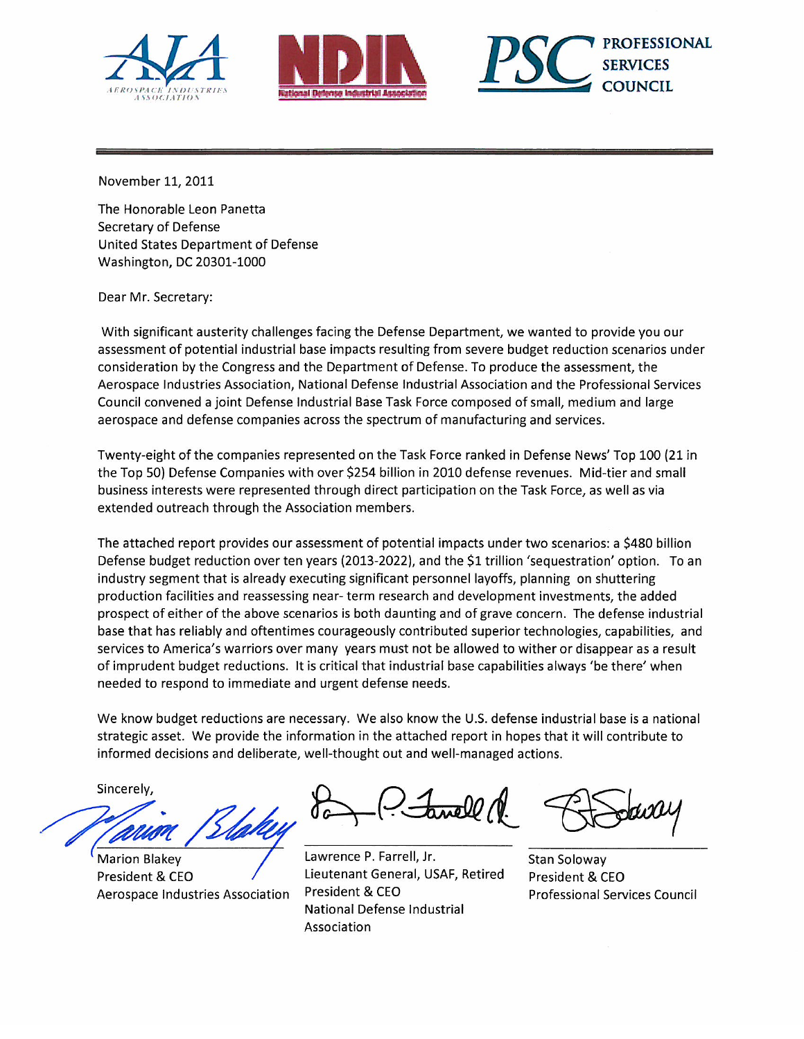





November 11, 2011

The Honorable Leon Panetta Secretary of Defense United States Department of Defense Washington, DC 20301-1000

Dear Mr. Secretary:

With significant austerity challenges facing the Defense Department, we wanted to provide you our assessment of potential industrial base impacts resulting from severe budget reduction scenarios under consideration by the Congress and the Department of Defense. To produce the assessment, the Aerospace Industries Association, National Defense Industrial Association and the Professional Services Council convened a joint Defense Industrial Base Task Force composed of small, medium and large aerospace and defense companies across the spectrum of manufacturing and services.

Twenty-eight of the companies represented on the Task Force ranked in Defense News' Top 100 (21 in the Top 50) Defense Companies with over \$254 billion in 2010 defense revenues. Mid-tier and small business interests were represented through direct participation on the Task Force, as well as via extended outreach through the Association members.

The attached report provides our assessment of potential impacts under two scenarios: a \$480 billion Defense budget reduction over ten years (2013-2022), and the \$1 trillion 'sequestration' option. To an industry segment that is already executing significant personnel layoffs, planning on shuttering production facilities and reassessing near-term research and development investments, the added prospect of either of the above scenarios is both daunting and of grave concern. The defense industrial base that has reliably and oftentimes courageously contributed superior technologies, capabilities, and services to America's warriors over many years must not be allowed to wither or disappear as a result of imprudent budget reductions. It is critical that industrial base capabilities always 'be there' when needed to respond to immediate and urgent defense needs.

We know budget reductions are necessary. We also know the U.S. defense industrial base is a national strategic asset. We provide the information in the attached report in hopes that it will contribute to informed decisions and deliberate, well-thought out and well-managed actions.

Sincerely,

**Marion Blakey** President & CEO Aerospace Industries Association

Lawrence P. Farrell, Jr. Lieutenant General, USAF, Retired President & CEO National Defense Industrial Association

**Stan Soloway** President & CEO **Professional Services Council**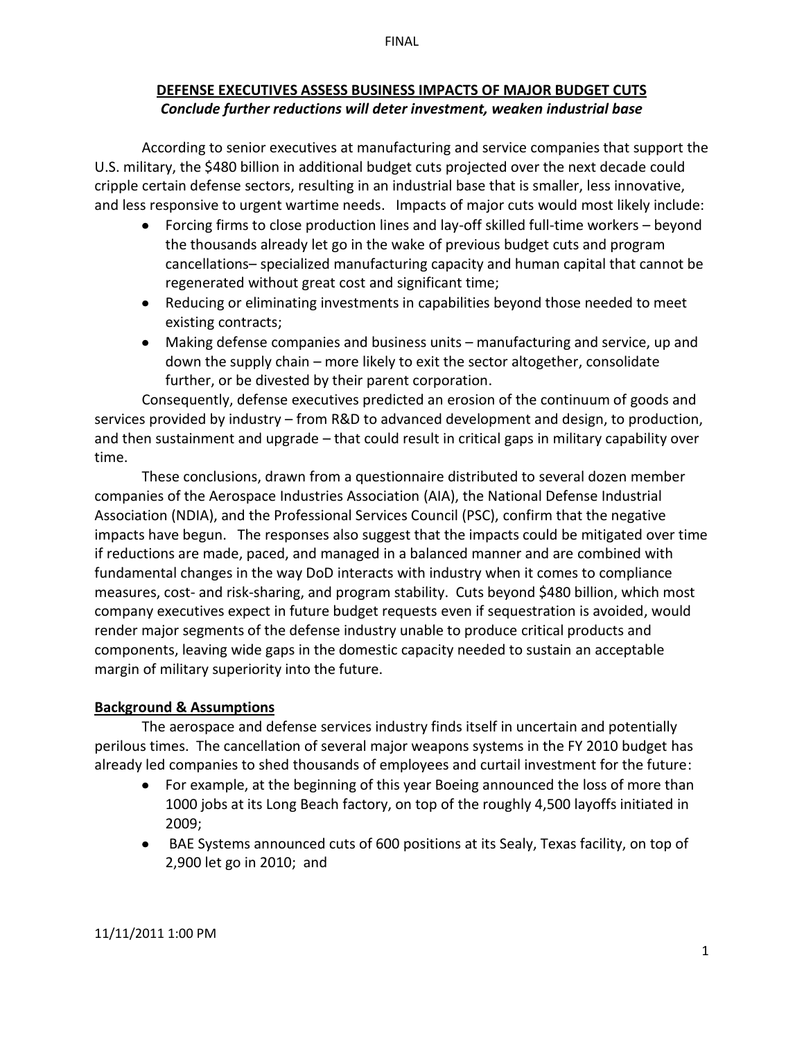### FINAL

## **DEFENSE EXECUTIVES ASSESS BUSINESS IMPACTS OF MAJOR BUDGET CUTS** *Conclude)further)reductions)will)deter investment,)weaken)industrial)base*

According to senior executives at manufacturing and service companies that support the U.S. military, the \$480 billion in additional budget cuts projected over the next decade could cripple certain defense sectors, resulting in an industrial base that is smaller, less innovative, and less responsive to urgent wartime needs. Impacts of major cuts would most likely include:

- Forcing firms to close production lines and lay-off skilled full-time workers  $-$  beyond the thousands already let go in the wake of previous budget cuts and program cancellations-specialized manufacturing capacity and human capital that cannot be regenerated without great cost and significant time;
- Reducing or eliminating investments in capabilities beyond those needed to meet existing contracts;
- Making defense companies and business units manufacturing and service, up and down the supply chain – more likely to exit the sector altogether, consolidate further, or be divested by their parent corporation.

Consequently, defense executives predicted an erosion of the continuum of goods and services provided by industry - from R&D to advanced development and design, to production, and then sustainment and upgrade – that could result in critical gaps in military capability over time.

These conclusions, drawn from a questionnaire distributed to several dozen member companies of the Aerospace Industries Association (AIA), the National Defense Industrial Association (NDIA), and the Professional Services Council (PSC), confirm that the negative impacts have begun. The responses also suggest that the impacts could be mitigated over time if reductions are made, paced, and managed in a balanced manner and are combined with fundamental changes in the way DoD interacts with industry when it comes to compliance measures, cost- and risk-sharing, and program stability. Cuts beyond \$480 billion, which most company executives expect in future budget requests even if sequestration is avoided, would render major segments of the defense industry unable to produce critical products and components, leaving wide gaps in the domestic capacity needed to sustain an acceptable margin of military superiority into the future.

# **Background & Assumptions**

The aerospace and defense services industry finds itself in uncertain and potentially perilous times. The cancellation of several major weapons systems in the FY 2010 budget has already led companies to shed thousands of employees and curtail investment for the future:

- For example, at the beginning of this year Boeing announced the loss of more than 1000 jobs at its Long Beach factory, on top of the roughly 4,500 layoffs initiated in 2009;
- BAE Systems announced cuts of 600 positions at its Sealy, Texas facility, on top of 2,900 let go in 2010; and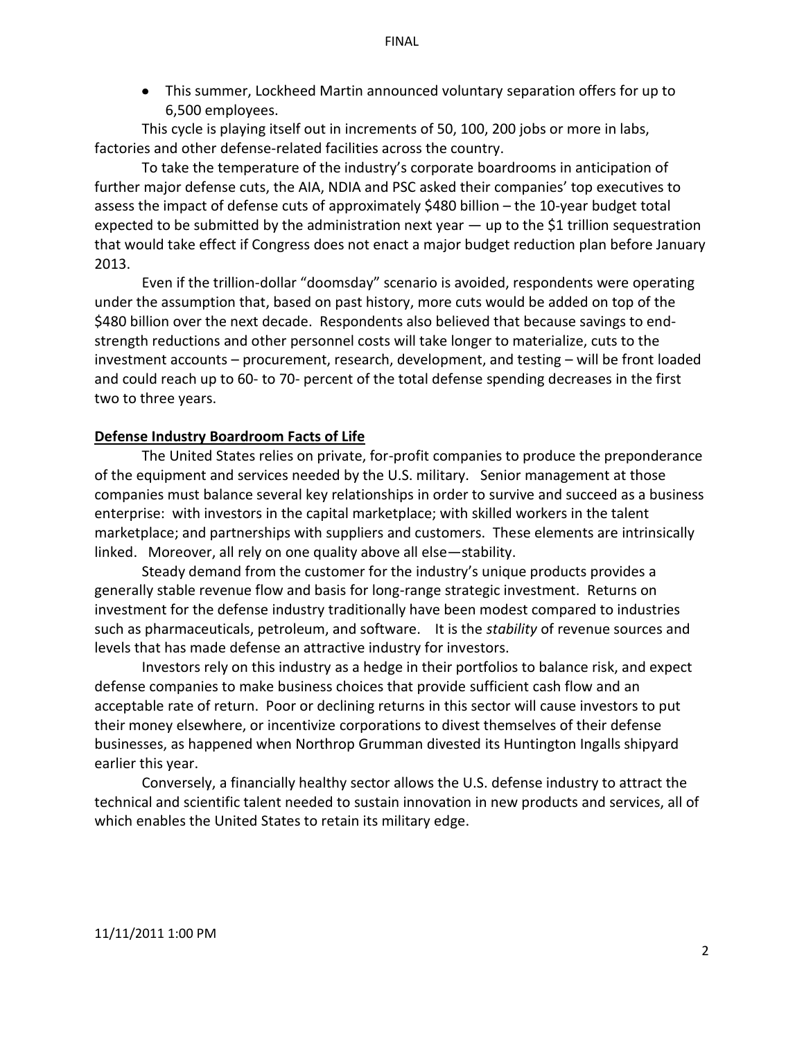• This summer, Lockheed Martin announced voluntary separation offers for up to 6.500 employees.

This cycle is playing itself out in increments of 50, 100, 200 jobs or more in labs, factories and other defense-related facilities across the country.

To take the temperature of the industry's corporate boardrooms in anticipation of further major defense cuts, the AIA, NDIA and PSC asked their companies' top executives to assess the impact of defense cuts of approximately \$480 billion  $-$  the 10-year budget total expected to be submitted by the administration next year — up to the \$1 trillion sequestration that would take effect if Congress does not enact a major budget reduction plan before January  $2013.$ 

Even if the trillion-dollar "doomsday" scenario is avoided, respondents were operating under the assumption that, based on past history, more cuts would be added on top of the \$480 billion over the next decade. Respondents also believed that because savings to endstrength reductions and other personnel costs will take longer to materialize, cuts to the  $investment$  accounts  $-$  procurement, research, development, and testing  $-$  will be front loaded and could reach up to 60- to 70- percent of the total defense spending decreases in the first two to three years.

## **Defense Industry Boardroom Facts of Life**

The United States relies on private, for-profit companies to produce the preponderance of the equipment and services needed by the U.S. military. Senior management at those companies must balance several key relationships in order to survive and succeed as a business enterprise: with investors in the capital marketplace; with skilled workers in the talent marketplace; and partnerships with suppliers and customers. These elements are intrinsically linked. Moreover, all rely on one quality above all else - stability.

Steady demand from the customer for the industry's unique products provides a generally stable revenue flow and basis for long-range strategic investment. Returns on investment for the defense industry traditionally have been modest compared to industries such as pharmaceuticals, petroleum, and software. It is the *stability* of revenue sources and levels that has made defense an attractive industry for investors.

Investors rely on this industry as a hedge in their portfolios to balance risk, and expect defense companies to make business choices that provide sufficient cash flow and an acceptable rate of return. Poor or declining returns in this sector will cause investors to put their money elsewhere, or incentivize corporations to divest themselves of their defense businesses, as happened when Northrop Grumman divested its Huntington Ingalls shipyard earlier this year.

Conversely, a financially healthy sector allows the U.S. defense industry to attract the technical and scientific talent needed to sustain innovation in new products and services, all of which enables the United States to retain its military edge.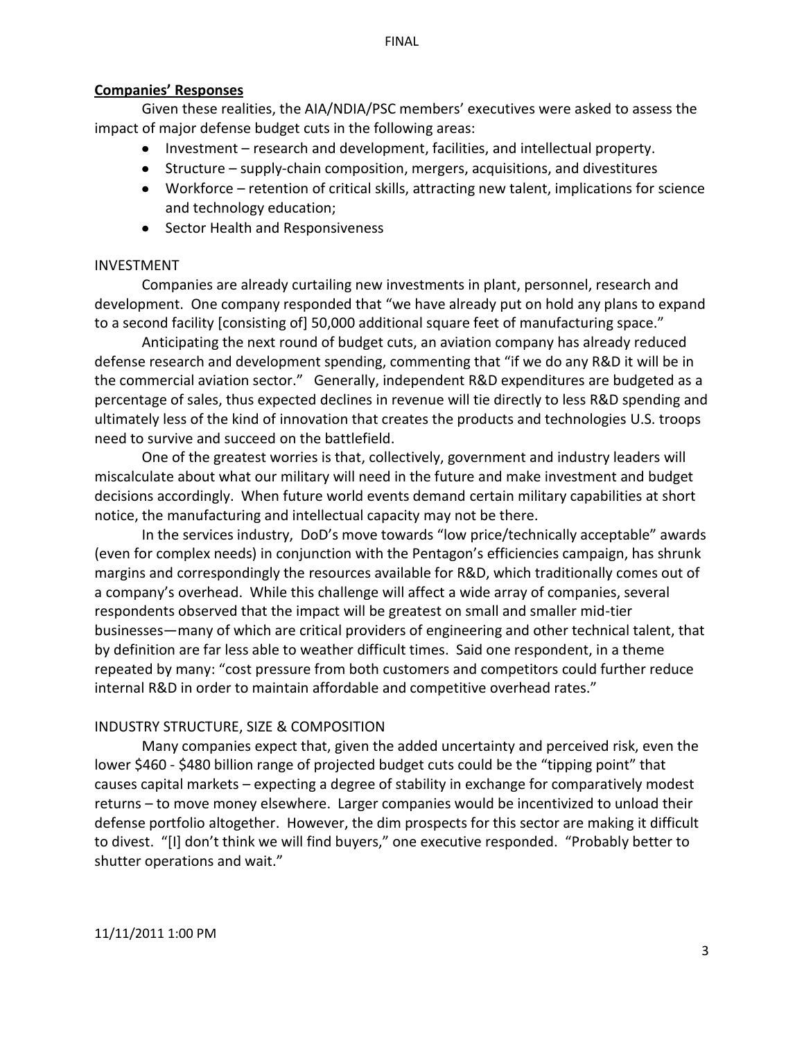### **Companies͛ Responses**

Given these realities, the AIA/NDIA/PSC members' executives were asked to assess the impact of major defense budget cuts in the following areas:

- $\bullet$  Investment research and development, facilities, and intellectual property.
- Structure supply-chain composition, mergers, acquisitions, and divestitures
- Workforce retention of critical skills, attracting new talent, implications for science and technology education;
- Sector Health and Responsiveness

### INVESTMENT

Companies are already curtailing new investments in plant, personnel, research and development. One company responded that "we have already put on hold any plans to expand to a second facility [consisting of] 50,000 additional square feet of manufacturing space."

Anticipating the next round of budget cuts, an aviation company has already reduced defense research and development spending, commenting that "if we do any R&D it will be in the commercial aviation sector." Generally, independent R&D expenditures are budgeted as a percentage of sales, thus expected declines in revenue will tie directly to less R&D spending and ultimately less of the kind of innovation that creates the products and technologies U.S. troops need to survive and succeed on the battlefield.

One of the greatest worries is that, collectively, government and industry leaders will miscalculate about what our military will need in the future and make investment and budget decisions accordingly. When future world events demand certain military capabilities at short notice, the manufacturing and intellectual capacity may not be there.

In the services industry, DoD's move towards "low price/technically acceptable" awards (even for complex needs) in conjunction with the Pentagon's efficiencies campaign, has shrunk margins and correspondingly the resources available for R&D, which traditionally comes out of a company's overhead. While this challenge will affect a wide array of companies, several respondents observed that the impact will be greatest on small and smaller mid-tier businesses—many of which are critical providers of engineering and other technical talent, that by definition are far less able to weather difficult times. Said one respondent, in a theme repeated by many: "cost pressure from both customers and competitors could further reduce internal R&D in order to maintain affordable and competitive overhead rates."

## INDUSTRY STRUCTURE, SIZE & COMPOSITION

Many companies expect that, given the added uncertainty and perceived risk, even the lower \$460 - \$480 billion range of projected budget cuts could be the "tipping point" that causes capital markets  $-$  expecting a degree of stability in exchange for comparatively modest returns – to move money elsewhere. Larger companies would be incentivized to unload their defense portfolio altogether. However, the dim prospects for this sector are making it difficult to divest. "[I] don't think we will find buyers," one executive responded. "Probably better to shutter operations and wait."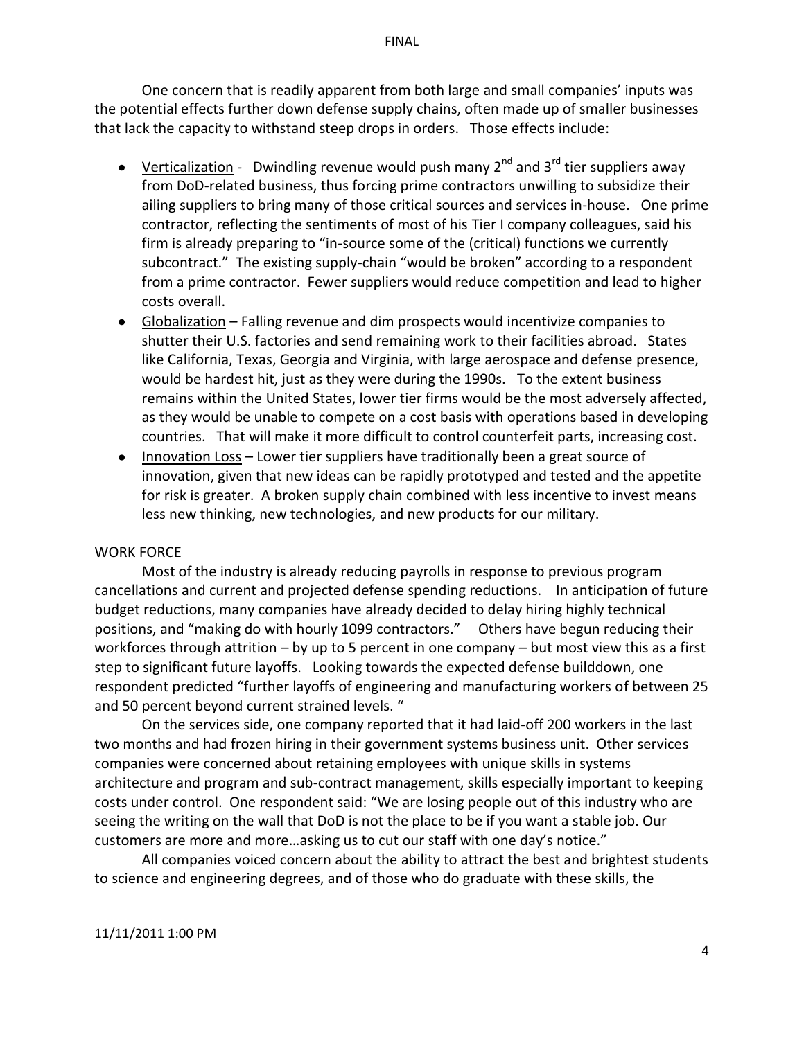One concern that is readily apparent from both large and small companies' inputs was the potential effects further down defense supply chains, often made up of smaller businesses that lack the capacity to withstand steep drops in orders. Those effects include:

- Verticalization Dwindling revenue would push many  $2^{nd}$  and  $3^{rd}$  tier suppliers away from DoD-related business, thus forcing prime contractors unwilling to subsidize their ailing suppliers to bring many of those critical sources and services in-house. One prime contractor, reflecting the sentiments of most of his Tier I company colleagues, said his firm is already preparing to "in-source some of the (critical) functions we currently subcontract." The existing supply-chain "would be broken" according to a respondent from a prime contractor. Fewer suppliers would reduce competition and lead to higher costs overall.
- Globalization  $-$  Falling revenue and dim prospects would incentivize companies to shutter their U.S. factories and send remaining work to their facilities abroad. States like California, Texas, Georgia and Virginia, with large aerospace and defense presence, would be hardest hit, just as they were during the 1990s. To the extent business remains within the United States, lower tier firms would be the most adversely affected, as they would be unable to compete on a cost basis with operations based in developing countries. That will make it more difficult to control counterfeit parts, increasing cost.
- Innovation Loss  $-$  Lower tier suppliers have traditionally been a great source of innovation, given that new ideas can be rapidly prototyped and tested and the appetite for risk is greater. A broken supply chain combined with less incentive to invest means less new thinking, new technologies, and new products for our military.

## WORK FORCE

Most of the industry is already reducing payrolls in response to previous program cancellations and current and projected defense spending reductions. In anticipation of future budget reductions, many companies have already decided to delay hiring highly technical positions, and "making do with hourly 1099 contractors." Others have begun reducing their workforces through attrition  $-$  by up to 5 percent in one company  $-$  but most view this as a first step to significant future layoffs. Looking towards the expected defense builddown, one respondent predicted "further layoffs of engineering and manufacturing workers of between 25 and 50 percent beyond current strained levels. "

On the services side, one company reported that it had laid-off 200 workers in the last two months and had frozen hiring in their government systems business unit. Other services companies were concerned about retaining employees with unique skills in systems architecture and program and sub-contract management, skills especially important to keeping costs under control. One respondent said: "We are losing people out of this industry who are seeing the writing on the wall that DoD is not the place to be if you want a stable job. Our customers are more and more...asking us to cut our staff with one day's notice."

All companies voiced concern about the ability to attract the best and brightest students to science and engineering degrees, and of those who do graduate with these skills, the

#### 11/11/2011 1:00 PM

FINAL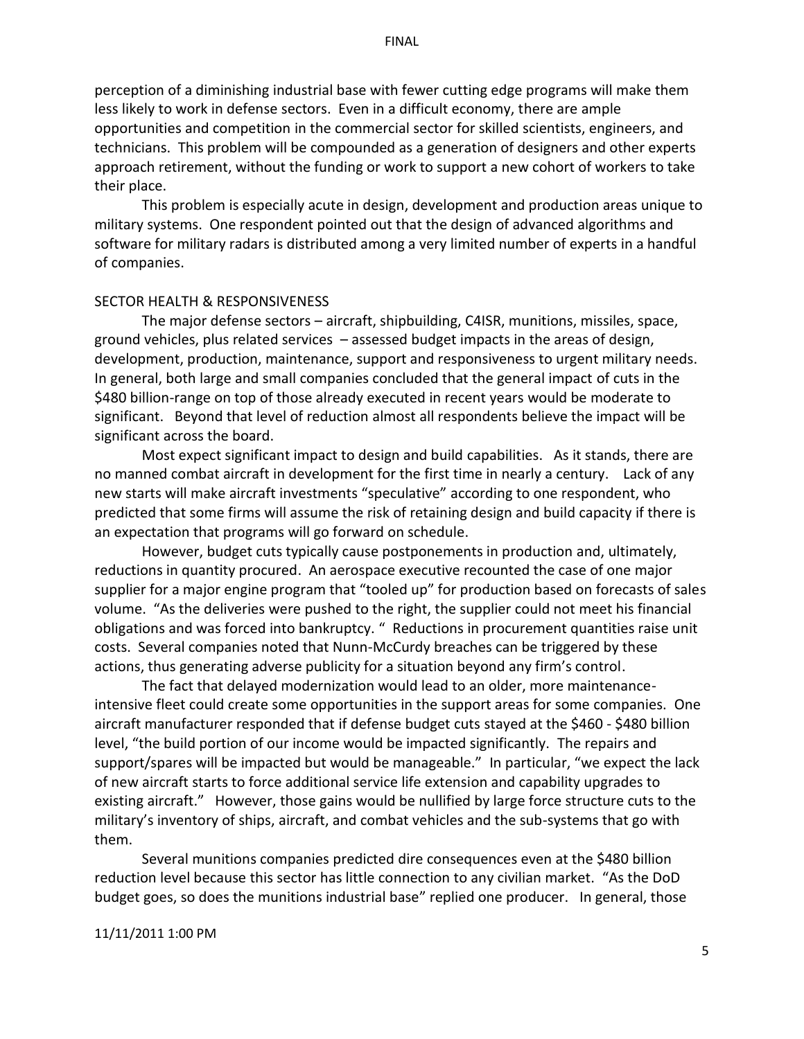#### FINAL

perception of a diminishing industrial base with fewer cutting edge programs will make them less likely to work in defense sectors. Even in a difficult economy, there are ample opportunities and competition in the commercial sector for skilled scientists, engineers, and technicians. This problem will be compounded as a generation of designers and other experts approach retirement, without the funding or work to support a new cohort of workers to take their place.

This problem is especially acute in design, development and production areas unique to military systems. One respondent pointed out that the design of advanced algorithms and software for military radars is distributed among a very limited number of experts in a handful of companies.

### SECTOR HEALTH & RESPONSIVENESS

The major defense sectors – aircraft, shipbuilding, C4ISR, munitions, missiles, space, ground vehicles, plus related services  $-$  assessed budget impacts in the areas of design, development, production, maintenance, support and responsiveness to urgent military needs. In general, both large and small companies concluded that the general impact of cuts in the \$480 billion-range on top of those already executed in recent years would be moderate to significant. Beyond that level of reduction almost all respondents believe the impact will be significant across the board.

Most expect significant impact to design and build capabilities. As it stands, there are no manned combat aircraft in development for the first time in nearly a century. Lack of any new starts will make aircraft investments "speculative" according to one respondent, who predicted that some firms will assume the risk of retaining design and build capacity if there is an expectation that programs will go forward on schedule.

However, budget cuts typically cause postponements in production and, ultimately, reductions in quantity procured. An aerospace executive recounted the case of one major supplier for a major engine program that "tooled up" for production based on forecasts of sales volume. "As the deliveries were pushed to the right, the supplier could not meet his financial obligations and was forced into bankruptcy. " Reductions in procurement quantities raise unit costs. Several companies noted that Nunn-McCurdy breaches can be triggered by these actions, thus generating adverse publicity for a situation beyond any firm's control.

The fact that delayed modernization would lead to an older, more maintenanceintensive fleet could create some opportunities in the support areas for some companies. One aircraft manufacturer responded that if defense budget cuts stayed at the \$460 - \$480 billion level, "the build portion of our income would be impacted significantly. The repairs and support/spares will be impacted but would be manageable." In particular, "we expect the lack of new aircraft starts to force additional service life extension and capability upgrades to existing aircraft." However, those gains would be nullified by large force structure cuts to the military's inventory of ships, aircraft, and combat vehicles and the sub-systems that go with them.

Several munitions companies predicted dire consequences even at the \$480 billion reduction level because this sector has little connection to any civilian market. "As the DoD budget goes, so does the munitions industrial base" replied one producer. In general, those

#### 11/11/2011 1:00 PM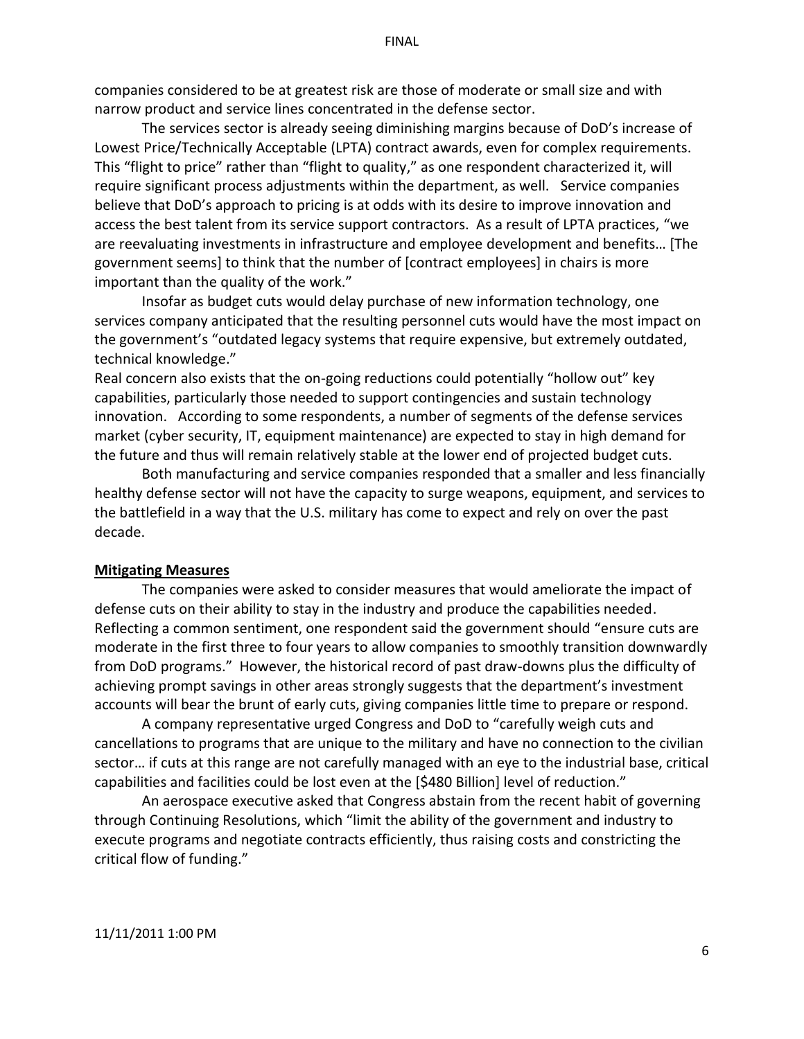companies considered to be at greatest risk are those of moderate or small size and with narrow product and service lines concentrated in the defense sector.

The services sector is already seeing diminishing margins because of DoD's increase of Lowest Price/Technically Acceptable (LPTA) contract awards, even for complex requirements. This "flight to price" rather than "flight to quality," as one respondent characterized it, will require significant process adjustments within the department, as well. Service companies believe that DoD's approach to pricing is at odds with its desire to improve innovation and access the best talent from its service support contractors. As a result of LPTA practices, "we are reevaluating investments in infrastructure and employee development and benefits... [The government seems] to think that the number of [contract employees] in chairs is more important than the quality of the work."

Insofar as budget cuts would delay purchase of new information technology, one services company anticipated that the resulting personnel cuts would have the most impact on the government's "outdated legacy systems that require expensive, but extremely outdated, technical knowledge."

Real concern also exists that the on-going reductions could potentially "hollow out" key capabilities, particularly those needed to support contingencies and sustain technology innovation. According to some respondents, a number of segments of the defense services market (cyber security, IT, equipment maintenance) are expected to stay in high demand for the future and thus will remain relatively stable at the lower end of projected budget cuts.

Both manufacturing and service companies responded that a smaller and less financially healthy defense sector will not have the capacity to surge weapons, equipment, and services to the battlefield in a way that the U.S. military has come to expect and rely on over the past decade.

#### **Mitigating&Measures**

The companies were asked to consider measures that would ameliorate the impact of defense cuts on their ability to stay in the industry and produce the capabilities needed. Reflecting a common sentiment, one respondent said the government should "ensure cuts are moderate in the first three to four years to allow companies to smoothly transition downwardly from DoD programs." However, the historical record of past draw-downs plus the difficulty of achieving prompt savings in other areas strongly suggests that the department's investment accounts will bear the brunt of early cuts, giving companies little time to prepare or respond.

A company representative urged Congress and DoD to "carefully weigh cuts and cancellations to programs that are unique to the military and have no connection to the civilian sector... if cuts at this range are not carefully managed with an eye to the industrial base, critical capabilities and facilities could be lost even at the [\$480 Billion] level of reduction."

An aerospace executive asked that Congress abstain from the recent habit of governing through Continuing Resolutions, which "limit the ability of the government and industry to execute programs and negotiate contracts efficiently, thus raising costs and constricting the critical flow of funding."